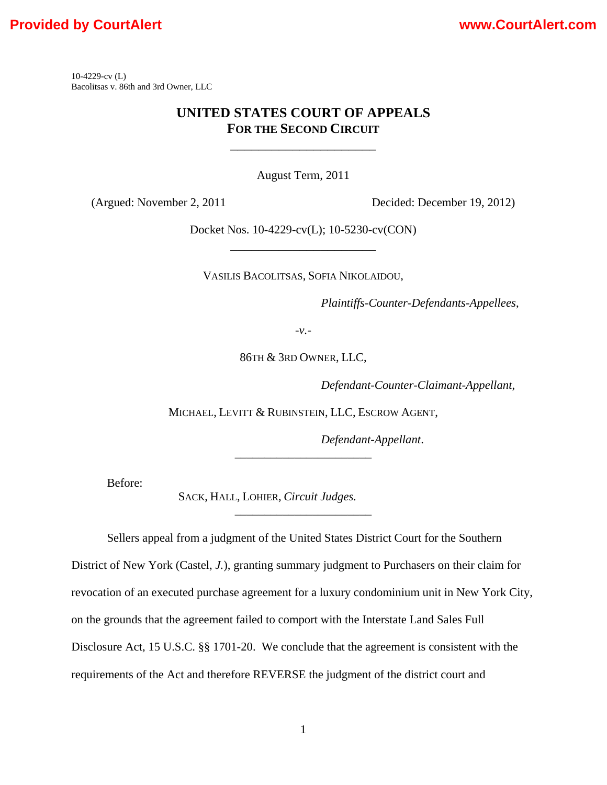10-4229-cv (L) Bacolitsas v. 86th and 3rd Owner, LLC

### **UNITED STATES COURT OF APPEALS FOR THE SECOND CIRCUIT**

\_\_\_\_\_\_\_\_\_\_\_\_\_\_\_\_\_\_\_\_\_

August Term, 2011

(Argued: November 2, 2011 Decided: December 19, 2012)

Docket Nos. 10-4229-cv(L); 10-5230-cv(CON) \_\_\_\_\_\_\_\_\_\_\_\_\_\_\_\_\_\_\_\_\_

VASILIS BACOLITSAS, SOFIA NIKOLAIDOU,

*Plaintiffs-Counter-Defendants-Appellees*,

-*v.*-

86TH & 3RD OWNER, LLC,

 *Defendant-Counter-Claimant-Appellant*,

MICHAEL, LEVITT & RUBINSTEIN, LLC, ESCROW AGENT,

*\_\_\_\_\_\_\_\_\_\_\_\_\_\_\_\_\_\_\_\_\_\_\_* 

*\_\_\_\_\_\_\_\_\_\_\_\_\_\_\_\_\_\_\_\_\_\_\_* 

*Defendant-Appellant*.

Before:

SACK, HALL, LOHIER, *Circuit Judges.* 

Sellers appeal from a judgment of the United States District Court for the Southern District of New York (Castel, *J.*), granting summary judgment to Purchasers on their claim for revocation of an executed purchase agreement for a luxury condominium unit in New York City, on the grounds that the agreement failed to comport with the Interstate Land Sales Full Disclosure Act, 15 U.S.C. §§ 1701-20. We conclude that the agreement is consistent with the requirements of the Act and therefore REVERSE the judgment of the district court and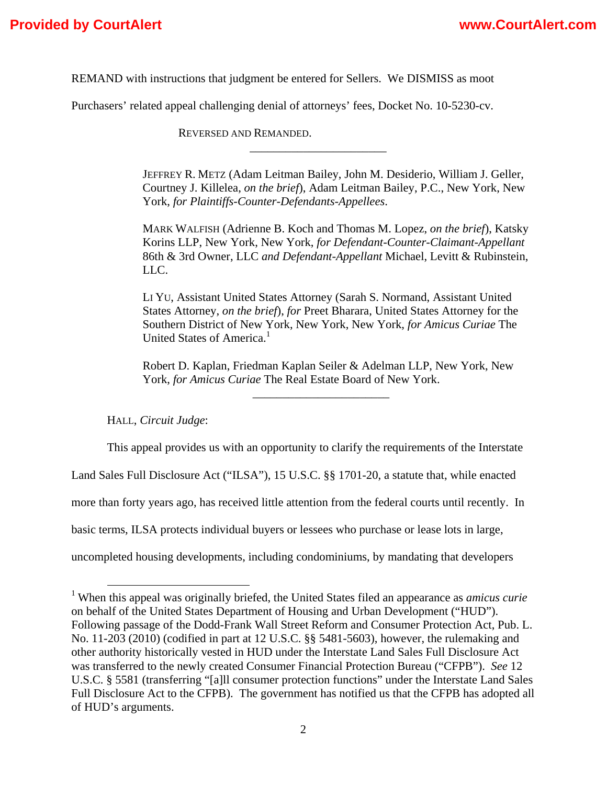REMAND with instructions that judgment be entered for Sellers. We DISMISS as moot

Purchasers' related appeal challenging denial of attorneys' fees, Docket No. 10-5230-cv.

 REVERSED AND REMANDED. *\_\_\_\_\_\_\_\_\_\_\_\_\_\_\_\_\_\_\_\_\_\_\_*

> JEFFREY R. METZ (Adam Leitman Bailey, John M. Desiderio, William J. Geller, Courtney J. Killelea, *on the brief*), Adam Leitman Bailey, P.C., New York, New York, *for Plaintiffs-Counter-Defendants-Appellees*.

> MARK WALFISH (Adrienne B. Koch and Thomas M. Lopez, *on the brief*), Katsky Korins LLP, New York, New York, *for Defendant-Counter-Claimant-Appellant*  86th & 3rd Owner, LLC *and Defendant-Appellant* Michael, Levitt & Rubinstein, LLC.

LI YU, Assistant United States Attorney (Sarah S. Normand, Assistant United States Attorney, *on the brief*), *for* Preet Bharara, United States Attorney for the Southern District of New York, New York, New York, *for Amicus Curiae* The United States of America.<sup>1</sup>

Robert D. Kaplan, Friedman Kaplan Seiler & Adelman LLP, New York, New York, *for Amicus Curiae* The Real Estate Board of New York.

*\_\_\_\_\_\_\_\_\_\_\_\_\_\_\_\_\_\_\_\_\_\_\_*

HALL, *Circuit Judge*:

This appeal provides us with an opportunity to clarify the requirements of the Interstate

Land Sales Full Disclosure Act ("ILSA"), 15 U.S.C. §§ 1701-20, a statute that, while enacted

more than forty years ago, has received little attention from the federal courts until recently. In

basic terms, ILSA protects individual buyers or lessees who purchase or lease lots in large,

uncompleted housing developments, including condominiums, by mandating that developers

 <sup>1</sup> When this appeal was originally briefed, the United States filed an appearance as *amicus curie* on behalf of the United States Department of Housing and Urban Development ("HUD"). Following passage of the Dodd-Frank Wall Street Reform and Consumer Protection Act, Pub. L. No. 11-203 (2010) (codified in part at 12 U.S.C. §§ 5481-5603), however, the rulemaking and other authority historically vested in HUD under the Interstate Land Sales Full Disclosure Act was transferred to the newly created Consumer Financial Protection Bureau ("CFPB"). *See* 12 U.S.C. § 5581 (transferring "[a]ll consumer protection functions" under the Interstate Land Sales Full Disclosure Act to the CFPB). The government has notified us that the CFPB has adopted all of HUD's arguments.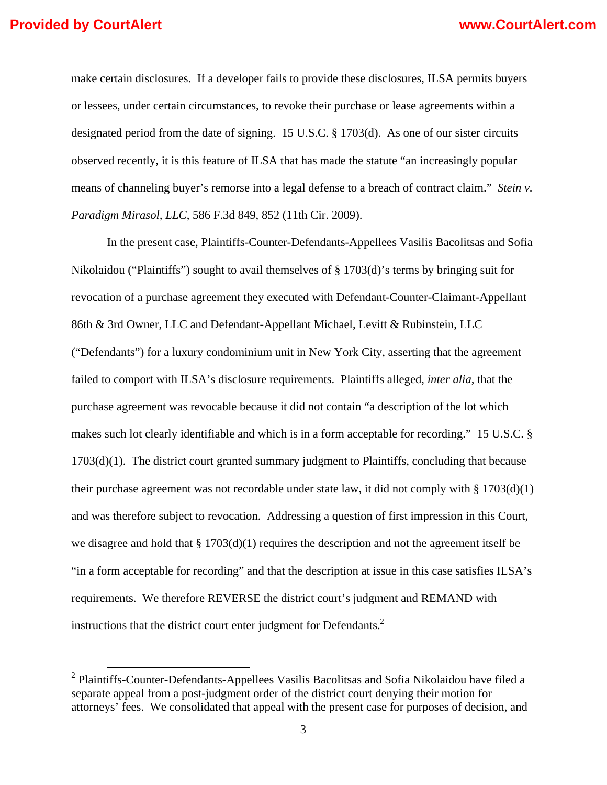make certain disclosures. If a developer fails to provide these disclosures, ILSA permits buyers or lessees, under certain circumstances, to revoke their purchase or lease agreements within a designated period from the date of signing. 15 U.S.C. § 1703(d). As one of our sister circuits observed recently, it is this feature of ILSA that has made the statute "an increasingly popular means of channeling buyer's remorse into a legal defense to a breach of contract claim." *Stein v. Paradigm Mirasol, LLC*, 586 F.3d 849, 852 (11th Cir. 2009).

In the present case, Plaintiffs-Counter-Defendants-Appellees Vasilis Bacolitsas and Sofia Nikolaidou ("Plaintiffs") sought to avail themselves of § 1703(d)'s terms by bringing suit for revocation of a purchase agreement they executed with Defendant-Counter-Claimant-Appellant 86th & 3rd Owner, LLC and Defendant-Appellant Michael, Levitt & Rubinstein, LLC ("Defendants") for a luxury condominium unit in New York City, asserting that the agreement failed to comport with ILSA's disclosure requirements. Plaintiffs alleged, *inter alia*, that the purchase agreement was revocable because it did not contain "a description of the lot which makes such lot clearly identifiable and which is in a form acceptable for recording." 15 U.S.C. § 1703(d)(1). The district court granted summary judgment to Plaintiffs, concluding that because their purchase agreement was not recordable under state law, it did not comply with  $\S 1703(d)(1)$ and was therefore subject to revocation. Addressing a question of first impression in this Court, we disagree and hold that  $\S 1703(d)(1)$  requires the description and not the agreement itself be "in a form acceptable for recording" and that the description at issue in this case satisfies ILSA's requirements. We therefore REVERSE the district court's judgment and REMAND with instructions that the district court enter judgment for Defendants.<sup>2</sup>

<sup>&</sup>lt;sup>2</sup> Plaintiffs-Counter-Defendants-Appellees Vasilis Bacolitsas and Sofia Nikolaidou have filed a separate appeal from a post-judgment order of the district court denying their motion for attorneys' fees. We consolidated that appeal with the present case for purposes of decision, and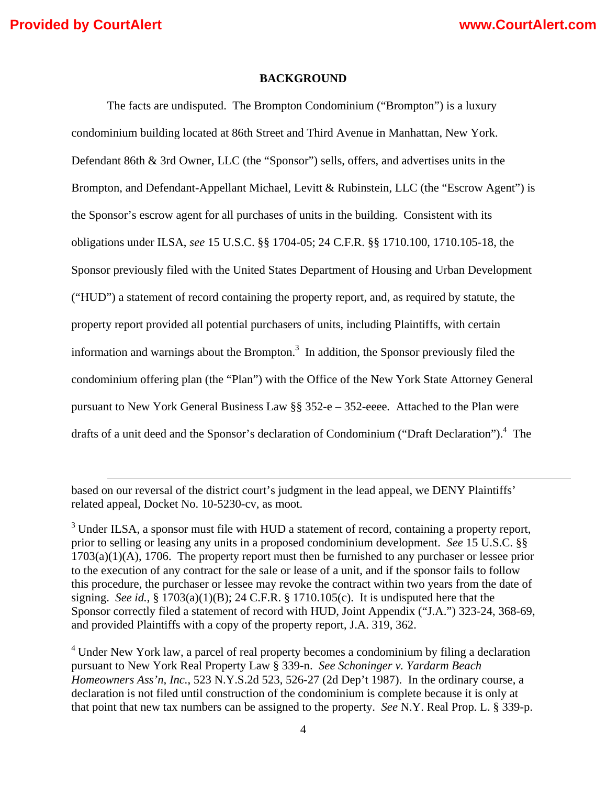### **BACKGROUND**

The facts are undisputed. The Brompton Condominium ("Brompton") is a luxury condominium building located at 86th Street and Third Avenue in Manhattan, New York. Defendant 86th & 3rd Owner, LLC (the "Sponsor") sells, offers, and advertises units in the Brompton, and Defendant-Appellant Michael, Levitt & Rubinstein, LLC (the "Escrow Agent") is the Sponsor's escrow agent for all purchases of units in the building. Consistent with its obligations under ILSA, *see* 15 U.S.C. §§ 1704-05; 24 C.F.R. §§ 1710.100, 1710.105-18, the Sponsor previously filed with the United States Department of Housing and Urban Development ("HUD") a statement of record containing the property report, and, as required by statute, the property report provided all potential purchasers of units, including Plaintiffs, with certain information and warnings about the Brompton. $3$  In addition, the Sponsor previously filed the condominium offering plan (the "Plan") with the Office of the New York State Attorney General pursuant to New York General Business Law §§ 352-e – 352-eeee*.* Attached to the Plan were drafts of a unit deed and the Sponsor's declaration of Condominium ("Draft Declaration").<sup>4</sup> The

based on our reversal of the district court's judgment in the lead appeal, we DENY Plaintiffs' related appeal, Docket No. 10-5230-cv, as moot.

<u> 1989 - Johann Stein, marwolaethau a gweledydd a ganlad y ganlad y ganlad y ganlad y ganlad y ganlad y ganlad</u>

 $3$  Under ILSA, a sponsor must file with HUD a statement of record, containing a property report, prior to selling or leasing any units in a proposed condominium development. *See* 15 U.S.C. §§ 1703(a)(1)(A), 1706. The property report must then be furnished to any purchaser or lessee prior to the execution of any contract for the sale or lease of a unit, and if the sponsor fails to follow this procedure, the purchaser or lessee may revoke the contract within two years from the date of signing. *See id.*, § 1703(a)(1)(B); 24 C.F.R. § 1710.105(c). It is undisputed here that the Sponsor correctly filed a statement of record with HUD, Joint Appendix ("J.A.") 323-24, 368-69, and provided Plaintiffs with a copy of the property report, J.A. 319, 362.

<sup>&</sup>lt;sup>4</sup> Under New York law, a parcel of real property becomes a condominium by filing a declaration pursuant to New York Real Property Law § 339-n. *See Schoninger v. Yardarm Beach Homeowners Ass'n, Inc.*, 523 N.Y.S.2d 523, 526-27 (2d Dep't 1987). In the ordinary course, a declaration is not filed until construction of the condominium is complete because it is only at that point that new tax numbers can be assigned to the property. *See* N.Y. Real Prop. L. § 339-p.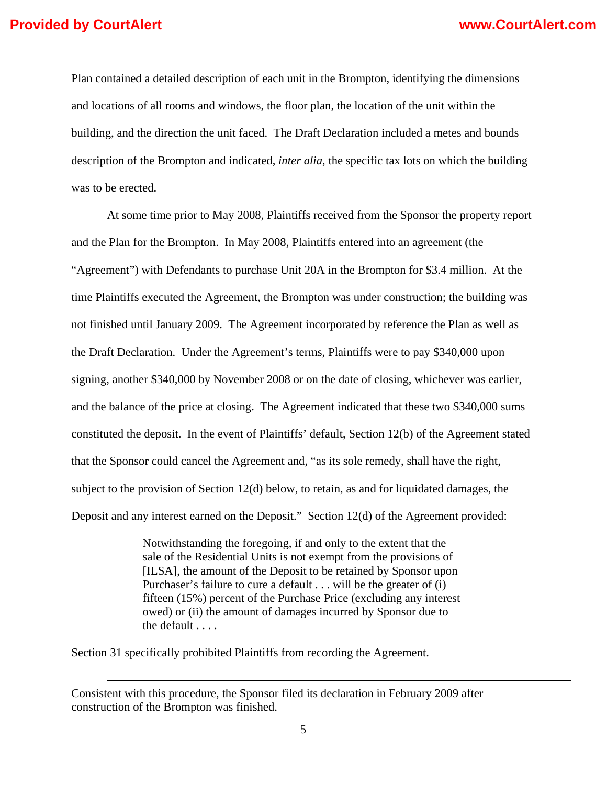Plan contained a detailed description of each unit in the Brompton, identifying the dimensions and locations of all rooms and windows, the floor plan, the location of the unit within the building, and the direction the unit faced. The Draft Declaration included a metes and bounds description of the Brompton and indicated, *inter alia*, the specific tax lots on which the building was to be erected.

At some time prior to May 2008, Plaintiffs received from the Sponsor the property report and the Plan for the Brompton. In May 2008, Plaintiffs entered into an agreement (the "Agreement") with Defendants to purchase Unit 20A in the Brompton for \$3.4 million. At the time Plaintiffs executed the Agreement, the Brompton was under construction; the building was not finished until January 2009. The Agreement incorporated by reference the Plan as well as the Draft Declaration. Under the Agreement's terms, Plaintiffs were to pay \$340,000 upon signing, another \$340,000 by November 2008 or on the date of closing, whichever was earlier, and the balance of the price at closing. The Agreement indicated that these two \$340,000 sums constituted the deposit. In the event of Plaintiffs' default, Section 12(b) of the Agreement stated that the Sponsor could cancel the Agreement and, "as its sole remedy, shall have the right, subject to the provision of Section 12(d) below, to retain, as and for liquidated damages, the Deposit and any interest earned on the Deposit." Section 12(d) of the Agreement provided:

> Notwithstanding the foregoing, if and only to the extent that the sale of the Residential Units is not exempt from the provisions of [ILSA], the amount of the Deposit to be retained by Sponsor upon Purchaser's failure to cure a default . . . will be the greater of (i) fifteen (15%) percent of the Purchase Price (excluding any interest owed) or (ii) the amount of damages incurred by Sponsor due to the default . . . .

Section 31 specifically prohibited Plaintiffs from recording the Agreement.

<u> 1989 - Johann Stein, marwolaethau a gweledydd a ganlad y ganlad y ganlad y ganlad y ganlad y ganlad y ganlad</u>

Consistent with this procedure, the Sponsor filed its declaration in February 2009 after construction of the Brompton was finished.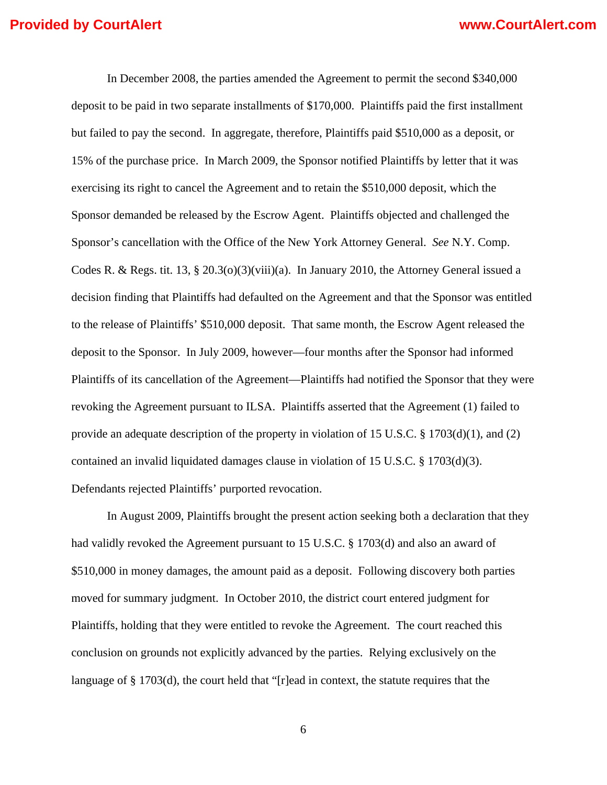In December 2008, the parties amended the Agreement to permit the second \$340,000 deposit to be paid in two separate installments of \$170,000. Plaintiffs paid the first installment but failed to pay the second. In aggregate, therefore, Plaintiffs paid \$510,000 as a deposit, or 15% of the purchase price. In March 2009, the Sponsor notified Plaintiffs by letter that it was exercising its right to cancel the Agreement and to retain the \$510,000 deposit, which the Sponsor demanded be released by the Escrow Agent. Plaintiffs objected and challenged the Sponsor's cancellation with the Office of the New York Attorney General. *See* N.Y. Comp. Codes R. & Regs. tit. 13, § 20.3(o)(3)(viii)(a). In January 2010, the Attorney General issued a decision finding that Plaintiffs had defaulted on the Agreement and that the Sponsor was entitled to the release of Plaintiffs' \$510,000 deposit. That same month, the Escrow Agent released the deposit to the Sponsor. In July 2009, however—four months after the Sponsor had informed Plaintiffs of its cancellation of the Agreement—Plaintiffs had notified the Sponsor that they were revoking the Agreement pursuant to ILSA. Plaintiffs asserted that the Agreement (1) failed to provide an adequate description of the property in violation of 15 U.S.C. § 1703(d)(1), and (2) contained an invalid liquidated damages clause in violation of 15 U.S.C. § 1703(d)(3). Defendants rejected Plaintiffs' purported revocation.

In August 2009, Plaintiffs brought the present action seeking both a declaration that they had validly revoked the Agreement pursuant to 15 U.S.C. § 1703(d) and also an award of \$510,000 in money damages, the amount paid as a deposit. Following discovery both parties moved for summary judgment. In October 2010, the district court entered judgment for Plaintiffs, holding that they were entitled to revoke the Agreement. The court reached this conclusion on grounds not explicitly advanced by the parties. Relying exclusively on the language of § 1703(d), the court held that "[r]ead in context, the statute requires that the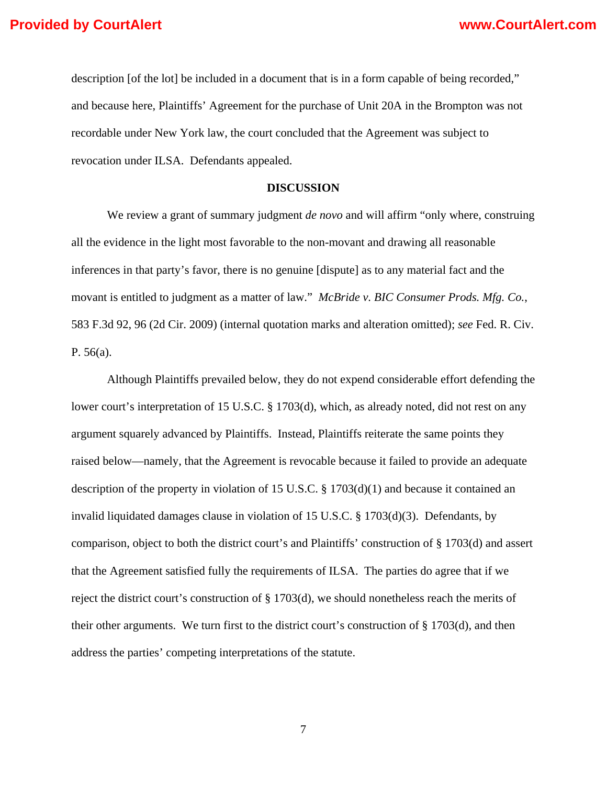description [of the lot] be included in a document that is in a form capable of being recorded," and because here, Plaintiffs' Agreement for the purchase of Unit 20A in the Brompton was not recordable under New York law, the court concluded that the Agreement was subject to revocation under ILSA. Defendants appealed.

### **DISCUSSION**

We review a grant of summary judgment *de novo* and will affirm "only where, construing all the evidence in the light most favorable to the non-movant and drawing all reasonable inferences in that party's favor, there is no genuine [dispute] as to any material fact and the movant is entitled to judgment as a matter of law." *McBride v. BIC Consumer Prods. Mfg. Co.*, 583 F.3d 92, 96 (2d Cir. 2009) (internal quotation marks and alteration omitted); *see* Fed. R. Civ. P. 56(a).

 Although Plaintiffs prevailed below, they do not expend considerable effort defending the lower court's interpretation of 15 U.S.C. § 1703(d), which, as already noted, did not rest on any argument squarely advanced by Plaintiffs. Instead, Plaintiffs reiterate the same points they raised below—namely, that the Agreement is revocable because it failed to provide an adequate description of the property in violation of 15 U.S.C. § 1703(d)(1) and because it contained an invalid liquidated damages clause in violation of 15 U.S.C. § 1703(d)(3). Defendants, by comparison, object to both the district court's and Plaintiffs' construction of § 1703(d) and assert that the Agreement satisfied fully the requirements of ILSA. The parties do agree that if we reject the district court's construction of § 1703(d), we should nonetheless reach the merits of their other arguments. We turn first to the district court's construction of  $\S 1703(d)$ , and then address the parties' competing interpretations of the statute.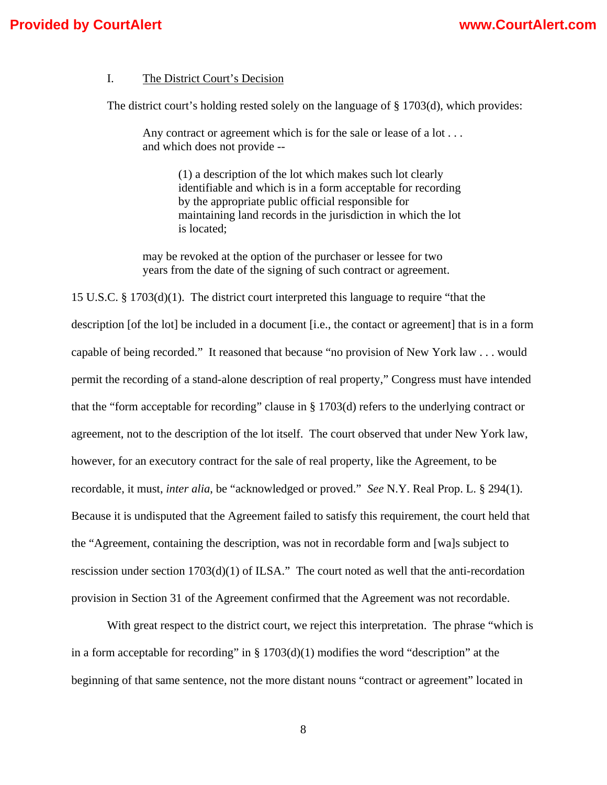### I. The District Court's Decision

The district court's holding rested solely on the language of  $\S 1703(d)$ , which provides:

Any contract or agreement which is for the sale or lease of a lot . . . and which does not provide --

> (1) a description of the lot which makes such lot clearly identifiable and which is in a form acceptable for recording by the appropriate public official responsible for maintaining land records in the jurisdiction in which the lot is located;

may be revoked at the option of the purchaser or lessee for two years from the date of the signing of such contract or agreement.

15 U.S.C. § 1703(d)(1). The district court interpreted this language to require "that the description [of the lot] be included in a document [i.e., the contact or agreement] that is in a form capable of being recorded." It reasoned that because "no provision of New York law . . . would permit the recording of a stand-alone description of real property," Congress must have intended that the "form acceptable for recording" clause in § 1703(d) refers to the underlying contract or agreement, not to the description of the lot itself. The court observed that under New York law, however, for an executory contract for the sale of real property, like the Agreement, to be recordable, it must, *inter alia*, be "acknowledged or proved." *See* N.Y. Real Prop. L. § 294(1). Because it is undisputed that the Agreement failed to satisfy this requirement, the court held that the "Agreement, containing the description, was not in recordable form and [wa]s subject to rescission under section 1703(d)(1) of ILSA." The court noted as well that the anti-recordation provision in Section 31 of the Agreement confirmed that the Agreement was not recordable.

 With great respect to the district court, we reject this interpretation. The phrase "which is in a form acceptable for recording" in  $\S 1703(d)(1)$  modifies the word "description" at the beginning of that same sentence, not the more distant nouns "contract or agreement" located in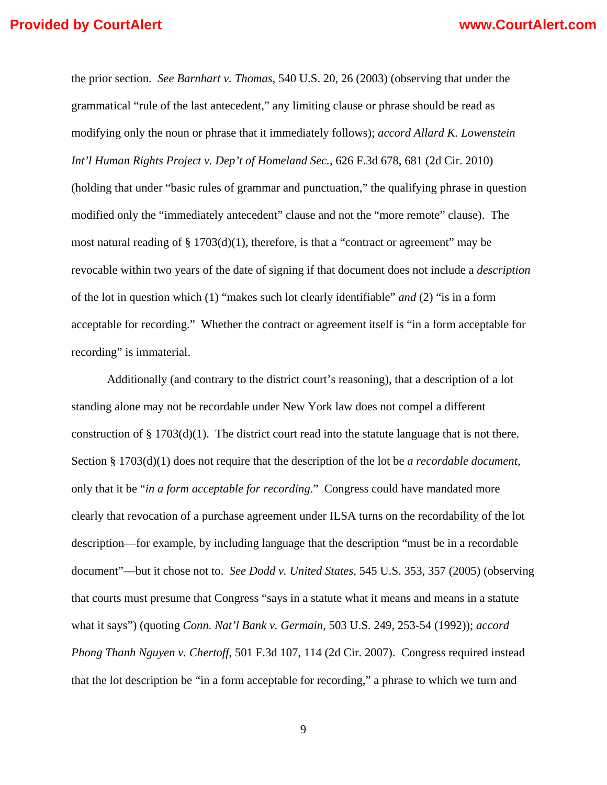the prior section. *See Barnhart v. Thomas*, 540 U.S. 20, 26 (2003) (observing that under the grammatical "rule of the last antecedent," any limiting clause or phrase should be read as modifying only the noun or phrase that it immediately follows); *accord Allard K. Lowenstein Int'l Human Rights Project v. Dep't of Homeland Sec.*, 626 F.3d 678, 681 (2d Cir. 2010) (holding that under "basic rules of grammar and punctuation," the qualifying phrase in question modified only the "immediately antecedent" clause and not the "more remote" clause). The most natural reading of  $\S 1703(d)(1)$ , therefore, is that a "contract or agreement" may be revocable within two years of the date of signing if that document does not include a *description* of the lot in question which (1) "makes such lot clearly identifiable" *and* (2) "is in a form acceptable for recording." Whether the contract or agreement itself is "in a form acceptable for recording" is immaterial.

 Additionally (and contrary to the district court's reasoning), that a description of a lot standing alone may not be recordable under New York law does not compel a different construction of  $\S 1703(d)(1)$ . The district court read into the statute language that is not there. Section § 1703(d)(1) does not require that the description of the lot be *a recordable document*, only that it be "*in a form acceptable for recording*." Congress could have mandated more clearly that revocation of a purchase agreement under ILSA turns on the recordability of the lot description—for example, by including language that the description "must be in a recordable document"—but it chose not to. *See Dodd v. United States*, 545 U.S. 353, 357 (2005) (observing that courts must presume that Congress "says in a statute what it means and means in a statute what it says") (quoting *Conn. Nat'l Bank v. Germain*, 503 U.S. 249, 253-54 (1992)); *accord Phong Thanh Nguyen v. Chertoff*, 501 F.3d 107, 114 (2d Cir. 2007). Congress required instead that the lot description be "in a form acceptable for recording," a phrase to which we turn and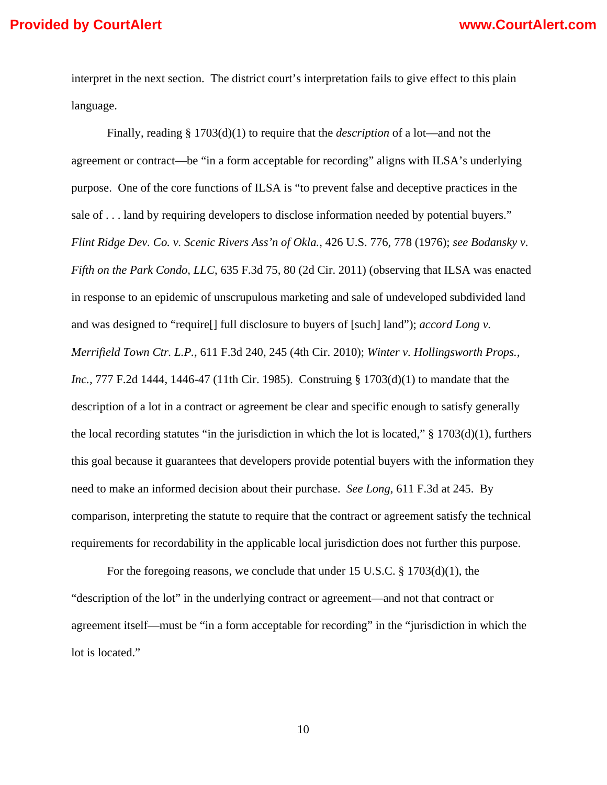interpret in the next section. The district court's interpretation fails to give effect to this plain language.

 Finally, reading § 1703(d)(1) to require that the *description* of a lot—and not the agreement or contract—be "in a form acceptable for recording" aligns with ILSA's underlying purpose. One of the core functions of ILSA is "to prevent false and deceptive practices in the sale of . . . land by requiring developers to disclose information needed by potential buyers." *Flint Ridge Dev. Co. v. Scenic Rivers Ass'n of Okla.*, 426 U.S. 776, 778 (1976); *see Bodansky v. Fifth on the Park Condo, LLC*, 635 F.3d 75, 80 (2d Cir. 2011) (observing that ILSA was enacted in response to an epidemic of unscrupulous marketing and sale of undeveloped subdivided land and was designed to "require[] full disclosure to buyers of [such] land"); *accord Long v. Merrifield Town Ctr. L.P.*, 611 F.3d 240, 245 (4th Cir. 2010); *Winter v. Hollingsworth Props., Inc.,* 777 F.2d 1444, 1446-47 (11th Cir. 1985). Construing § 1703(d)(1) to mandate that the description of a lot in a contract or agreement be clear and specific enough to satisfy generally the local recording statutes "in the jurisdiction in which the lot is located,"  $\S$  1703(d)(1), furthers this goal because it guarantees that developers provide potential buyers with the information they need to make an informed decision about their purchase. *See Long*, 611 F.3d at 245. By comparison, interpreting the statute to require that the contract or agreement satisfy the technical requirements for recordability in the applicable local jurisdiction does not further this purpose.

 For the foregoing reasons, we conclude that under 15 U.S.C. § 1703(d)(1), the "description of the lot" in the underlying contract or agreement—and not that contract or agreement itself—must be "in a form acceptable for recording" in the "jurisdiction in which the lot is located."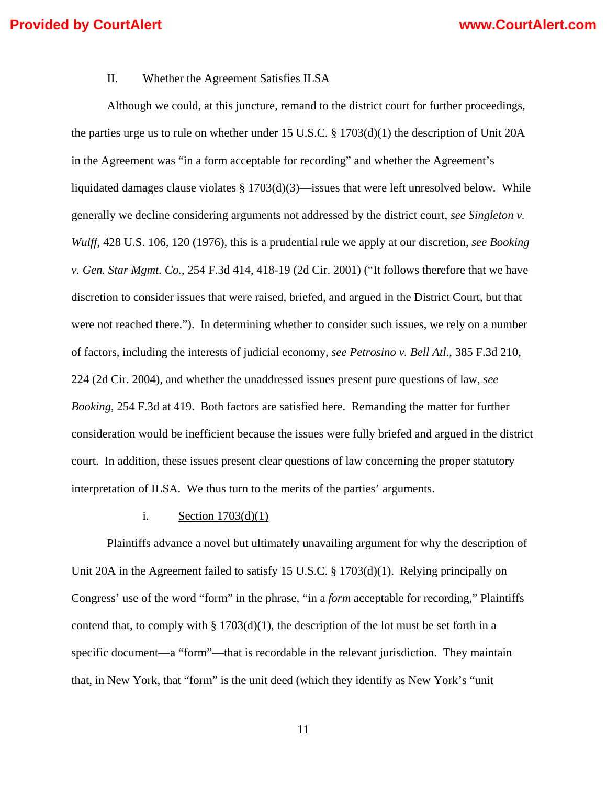### II. Whether the Agreement Satisfies ILSA

Although we could, at this juncture, remand to the district court for further proceedings, the parties urge us to rule on whether under 15 U.S.C. § 1703(d)(1) the description of Unit 20A in the Agreement was "in a form acceptable for recording" and whether the Agreement's liquidated damages clause violates  $\S 1703(d)(3)$ —issues that were left unresolved below. While generally we decline considering arguments not addressed by the district court, *see Singleton v. Wulff*, 428 U.S. 106, 120 (1976), this is a prudential rule we apply at our discretion, *see Booking v. Gen. Star Mgmt. Co.*, 254 F.3d 414, 418-19 (2d Cir. 2001) ("It follows therefore that we have discretion to consider issues that were raised, briefed, and argued in the District Court, but that were not reached there."). In determining whether to consider such issues, we rely on a number of factors, including the interests of judicial economy, *see Petrosino v. Bell Atl.*, 385 F.3d 210, 224 (2d Cir. 2004), and whether the unaddressed issues present pure questions of law, *see Booking*, 254 F.3d at 419. Both factors are satisfied here. Remanding the matter for further consideration would be inefficient because the issues were fully briefed and argued in the district court. In addition, these issues present clear questions of law concerning the proper statutory interpretation of ILSA. We thus turn to the merits of the parties' arguments.

### i. Section  $1703(d)(1)$

Plaintiffs advance a novel but ultimately unavailing argument for why the description of Unit 20A in the Agreement failed to satisfy 15 U.S.C. § 1703(d)(1). Relying principally on Congress' use of the word "form" in the phrase, "in a *form* acceptable for recording," Plaintiffs contend that, to comply with  $\S 1703(d)(1)$ , the description of the lot must be set forth in a specific document—a "form"—that is recordable in the relevant jurisdiction. They maintain that, in New York, that "form" is the unit deed (which they identify as New York's "unit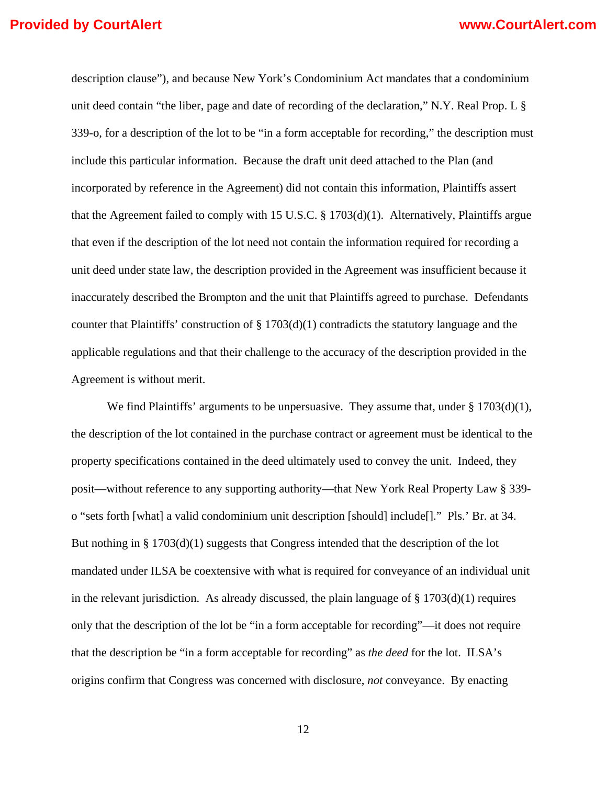description clause"), and because New York's Condominium Act mandates that a condominium unit deed contain "the liber, page and date of recording of the declaration," N.Y. Real Prop. L § 339-o, for a description of the lot to be "in a form acceptable for recording," the description must include this particular information. Because the draft unit deed attached to the Plan (and incorporated by reference in the Agreement) did not contain this information, Plaintiffs assert that the Agreement failed to comply with 15 U.S.C.  $\S 1703(d)(1)$ . Alternatively, Plaintiffs argue that even if the description of the lot need not contain the information required for recording a unit deed under state law, the description provided in the Agreement was insufficient because it inaccurately described the Brompton and the unit that Plaintiffs agreed to purchase. Defendants counter that Plaintiffs' construction of § 1703(d)(1) contradicts the statutory language and the applicable regulations and that their challenge to the accuracy of the description provided in the Agreement is without merit.

We find Plaintiffs' arguments to be unpersuasive. They assume that, under  $\S 1703(d)(1)$ , the description of the lot contained in the purchase contract or agreement must be identical to the property specifications contained in the deed ultimately used to convey the unit. Indeed, they posit—without reference to any supporting authority—that New York Real Property Law § 339 o "sets forth [what] a valid condominium unit description [should] include[]." Pls.' Br. at 34. But nothing in § 1703(d)(1) suggests that Congress intended that the description of the lot mandated under ILSA be coextensive with what is required for conveyance of an individual unit in the relevant jurisdiction. As already discussed, the plain language of  $\S 1703(d)(1)$  requires only that the description of the lot be "in a form acceptable for recording"—it does not require that the description be "in a form acceptable for recording" as *the deed* for the lot. ILSA's origins confirm that Congress was concerned with disclosure, *not* conveyance. By enacting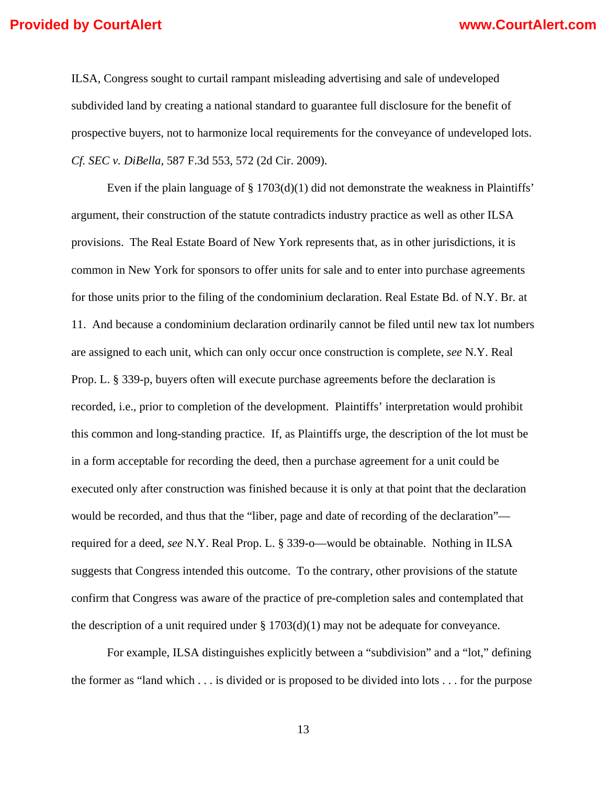ILSA, Congress sought to curtail rampant misleading advertising and sale of undeveloped subdivided land by creating a national standard to guarantee full disclosure for the benefit of prospective buyers, not to harmonize local requirements for the conveyance of undeveloped lots. *Cf. SEC v. DiBella*, 587 F.3d 553, 572 (2d Cir. 2009).

Even if the plain language of  $\S 1703(d)(1)$  did not demonstrate the weakness in Plaintiffs' argument, their construction of the statute contradicts industry practice as well as other ILSA provisions. The Real Estate Board of New York represents that, as in other jurisdictions, it is common in New York for sponsors to offer units for sale and to enter into purchase agreements for those units prior to the filing of the condominium declaration. Real Estate Bd. of N.Y. Br. at 11. And because a condominium declaration ordinarily cannot be filed until new tax lot numbers are assigned to each unit, which can only occur once construction is complete, *see* N.Y. Real Prop. L. § 339-p, buyers often will execute purchase agreements before the declaration is recorded, i.e., prior to completion of the development. Plaintiffs' interpretation would prohibit this common and long-standing practice. If, as Plaintiffs urge, the description of the lot must be in a form acceptable for recording the deed, then a purchase agreement for a unit could be executed only after construction was finished because it is only at that point that the declaration would be recorded, and thus that the "liber, page and date of recording of the declaration" required for a deed, *see* N.Y. Real Prop. L. § 339-o—would be obtainable. Nothing in ILSA suggests that Congress intended this outcome. To the contrary, other provisions of the statute confirm that Congress was aware of the practice of pre-completion sales and contemplated that the description of a unit required under  $\S 1703(d)(1)$  may not be adequate for conveyance.

 For example, ILSA distinguishes explicitly between a "subdivision" and a "lot," defining the former as "land which . . . is divided or is proposed to be divided into lots . . . for the purpose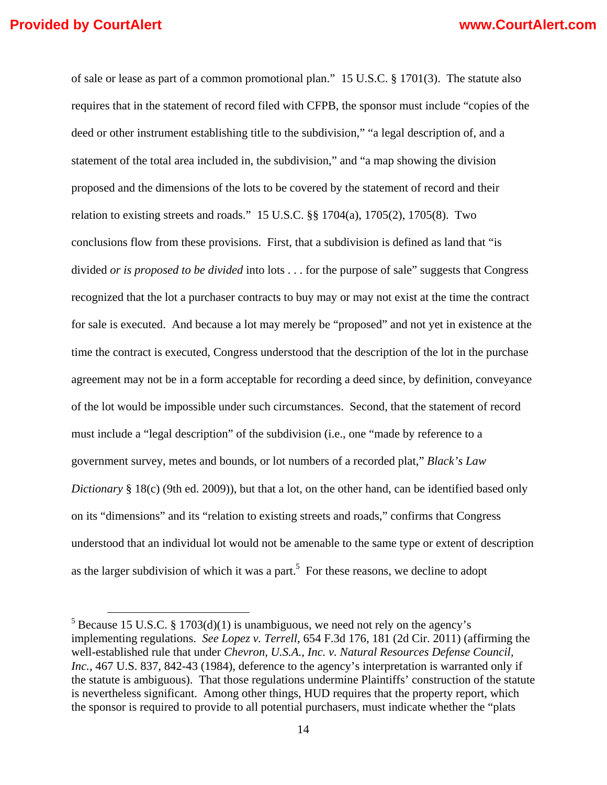of sale or lease as part of a common promotional plan." 15 U.S.C. § 1701(3). The statute also requires that in the statement of record filed with CFPB, the sponsor must include "copies of the deed or other instrument establishing title to the subdivision," "a legal description of, and a statement of the total area included in, the subdivision," and "a map showing the division proposed and the dimensions of the lots to be covered by the statement of record and their relation to existing streets and roads." 15 U.S.C. §§ 1704(a), 1705(2), 1705(8). Two conclusions flow from these provisions. First, that a subdivision is defined as land that "is divided *or is proposed to be divided* into lots . . . for the purpose of sale" suggests that Congress recognized that the lot a purchaser contracts to buy may or may not exist at the time the contract for sale is executed. And because a lot may merely be "proposed" and not yet in existence at the time the contract is executed, Congress understood that the description of the lot in the purchase agreement may not be in a form acceptable for recording a deed since, by definition, conveyance of the lot would be impossible under such circumstances. Second, that the statement of record must include a "legal description" of the subdivision (i.e., one "made by reference to a government survey, metes and bounds, or lot numbers of a recorded plat," *Black's Law Dictionary* § 18(c) (9th ed. 2009)), but that a lot, on the other hand, can be identified based only on its "dimensions" and its "relation to existing streets and roads," confirms that Congress understood that an individual lot would not be amenable to the same type or extent of description as the larger subdivision of which it was a part.<sup>5</sup> For these reasons, we decline to adopt

 $5$  Because 15 U.S.C. § 1703(d)(1) is unambiguous, we need not rely on the agency's implementing regulations. *See Lopez v. Terrell*, 654 F.3d 176, 181 (2d Cir. 2011) (affirming the well-established rule that under *Chevron, U.S.A., Inc. v. Natural Resources Defense Council, Inc.*, 467 U.S. 837, 842-43 (1984), deference to the agency's interpretation is warranted only if the statute is ambiguous). That those regulations undermine Plaintiffs' construction of the statute is nevertheless significant. Among other things, HUD requires that the property report, which the sponsor is required to provide to all potential purchasers, must indicate whether the "plats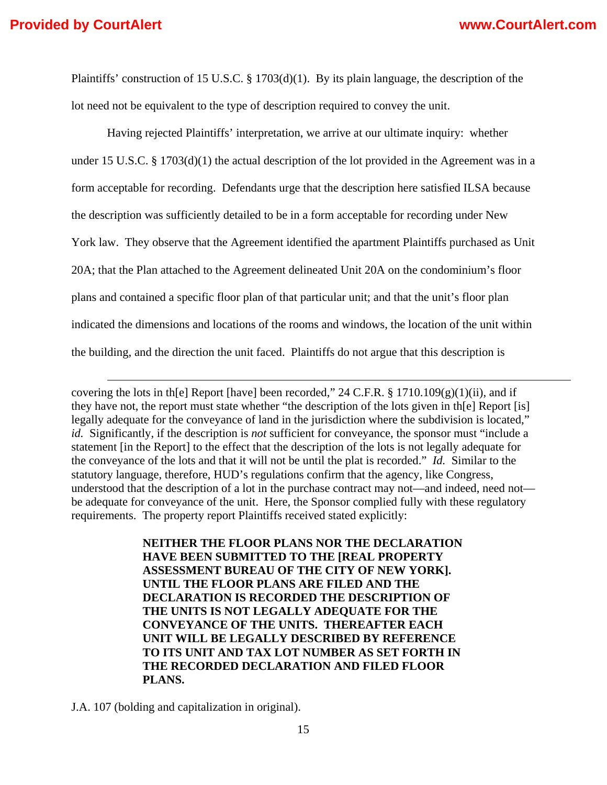Plaintiffs' construction of 15 U.S.C. § 1703(d)(1). By its plain language, the description of the lot need not be equivalent to the type of description required to convey the unit.

Having rejected Plaintiffs' interpretation, we arrive at our ultimate inquiry: whether under 15 U.S.C. § 1703(d)(1) the actual description of the lot provided in the Agreement was in a form acceptable for recording. Defendants urge that the description here satisfied ILSA because the description was sufficiently detailed to be in a form acceptable for recording under New York law. They observe that the Agreement identified the apartment Plaintiffs purchased as Unit 20A; that the Plan attached to the Agreement delineated Unit 20A on the condominium's floor plans and contained a specific floor plan of that particular unit; and that the unit's floor plan indicated the dimensions and locations of the rooms and windows, the location of the unit within the building, and the direction the unit faced. Plaintiffs do not argue that this description is

covering the lots in th[e] Report [have] been recorded,"  $24$  C.F.R. § 1710.109(g)(1)(ii), and if they have not, the report must state whether "the description of the lots given in th[e] Report [is] legally adequate for the conveyance of land in the jurisdiction where the subdivision is located," *id.* Significantly, if the description is *not* sufficient for conveyance, the sponsor must "include a statement [in the Report] to the effect that the description of the lots is not legally adequate for the conveyance of the lots and that it will not be until the plat is recorded." *Id.* Similar to the statutory language, therefore, HUD's regulations confirm that the agency, like Congress, understood that the description of a lot in the purchase contract may not—and indeed, need not be adequate for conveyance of the unit. Here, the Sponsor complied fully with these regulatory requirements. The property report Plaintiffs received stated explicitly:

<u> 1989 - Johann Stein, marwolaethau a gweledydd a ganlad y ganlad y ganlad y ganlad y ganlad y ganlad y ganlad</u>

**NEITHER THE FLOOR PLANS NOR THE DECLARATION HAVE BEEN SUBMITTED TO THE [REAL PROPERTY ASSESSMENT BUREAU OF THE CITY OF NEW YORK]. UNTIL THE FLOOR PLANS ARE FILED AND THE DECLARATION IS RECORDED THE DESCRIPTION OF THE UNITS IS NOT LEGALLY ADEQUATE FOR THE CONVEYANCE OF THE UNITS. THEREAFTER EACH UNIT WILL BE LEGALLY DESCRIBED BY REFERENCE TO ITS UNIT AND TAX LOT NUMBER AS SET FORTH IN THE RECORDED DECLARATION AND FILED FLOOR PLANS.**

J.A. 107 (bolding and capitalization in original).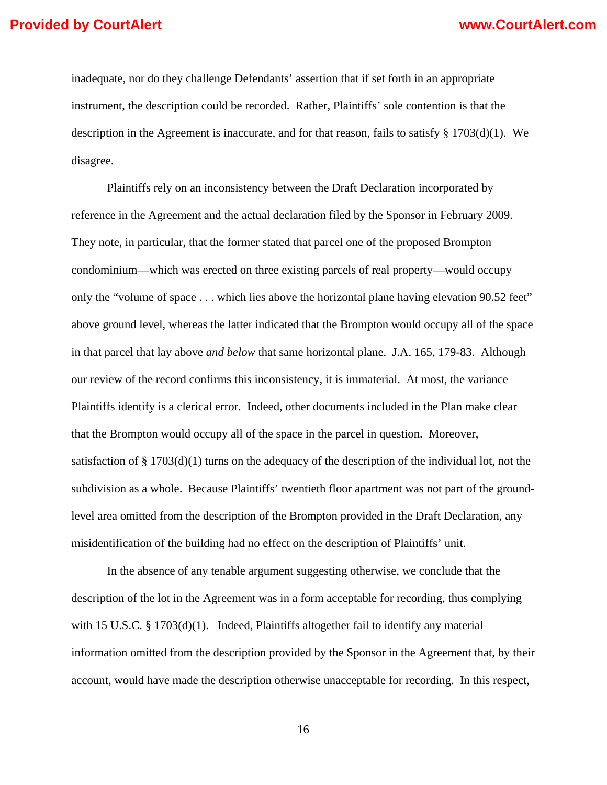inadequate, nor do they challenge Defendants' assertion that if set forth in an appropriate instrument, the description could be recorded. Rather, Plaintiffs' sole contention is that the description in the Agreement is inaccurate, and for that reason, fails to satisfy  $\S 1703(d)(1)$ . We disagree.

Plaintiffs rely on an inconsistency between the Draft Declaration incorporated by reference in the Agreement and the actual declaration filed by the Sponsor in February 2009. They note, in particular, that the former stated that parcel one of the proposed Brompton condominium—which was erected on three existing parcels of real property—would occupy only the "volume of space . . . which lies above the horizontal plane having elevation 90.52 feet" above ground level, whereas the latter indicated that the Brompton would occupy all of the space in that parcel that lay above *and below* that same horizontal plane. J.A. 165, 179-83. Although our review of the record confirms this inconsistency, it is immaterial. At most, the variance Plaintiffs identify is a clerical error. Indeed, other documents included in the Plan make clear that the Brompton would occupy all of the space in the parcel in question. Moreover, satisfaction of  $\S 1703(d)(1)$  turns on the adequacy of the description of the individual lot, not the subdivision as a whole. Because Plaintiffs' twentieth floor apartment was not part of the groundlevel area omitted from the description of the Brompton provided in the Draft Declaration, any misidentification of the building had no effect on the description of Plaintiffs' unit.

In the absence of any tenable argument suggesting otherwise, we conclude that the description of the lot in the Agreement was in a form acceptable for recording, thus complying with 15 U.S.C. § 1703(d)(1). Indeed, Plaintiffs altogether fail to identify any material information omitted from the description provided by the Sponsor in the Agreement that, by their account, would have made the description otherwise unacceptable for recording. In this respect,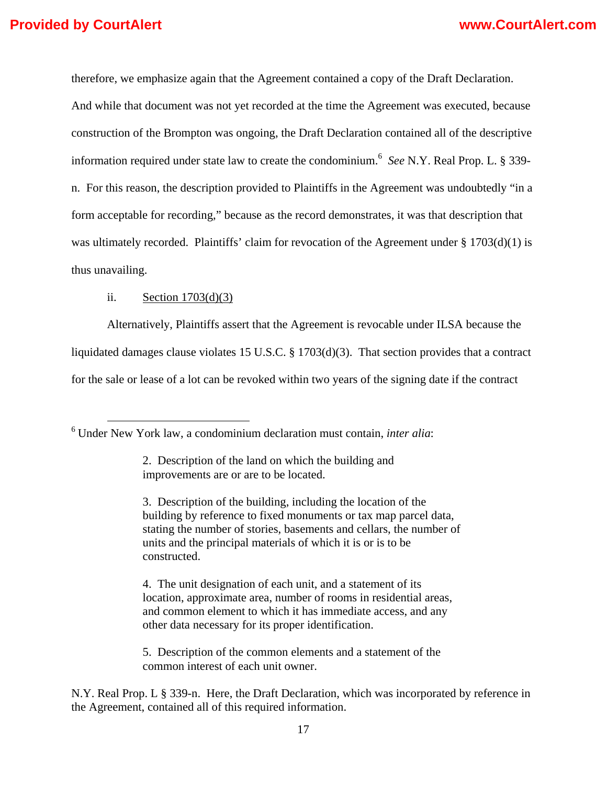therefore, we emphasize again that the Agreement contained a copy of the Draft Declaration.

And while that document was not yet recorded at the time the Agreement was executed, because construction of the Brompton was ongoing, the Draft Declaration contained all of the descriptive information required under state law to create the condominium.<sup>6</sup> *See* N.Y. Real Prop. L. § 339 n. For this reason, the description provided to Plaintiffs in the Agreement was undoubtedly "in a form acceptable for recording," because as the record demonstrates, it was that description that was ultimately recorded. Plaintiffs' claim for revocation of the Agreement under  $\S 1703(d)(1)$  is thus unavailing.

### ii. Section  $1703(d)(3)$

Alternatively, Plaintiffs assert that the Agreement is revocable under ILSA because the liquidated damages clause violates 15 U.S.C. § 1703(d)(3). That section provides that a contract for the sale or lease of a lot can be revoked within two years of the signing date if the contract

4. The unit designation of each unit, and a statement of its location, approximate area, number of rooms in residential areas, and common element to which it has immediate access, and any other data necessary for its proper identification.

5. Description of the common elements and a statement of the common interest of each unit owner.

N.Y. Real Prop. L § 339-n. Here, the Draft Declaration, which was incorporated by reference in the Agreement, contained all of this required information.

 <sup>6</sup> Under New York law, a condominium declaration must contain, *inter alia*:

<sup>2.</sup> Description of the land on which the building and improvements are or are to be located.

<sup>3.</sup> Description of the building, including the location of the building by reference to fixed monuments or tax map parcel data, stating the number of stories, basements and cellars, the number of units and the principal materials of which it is or is to be constructed.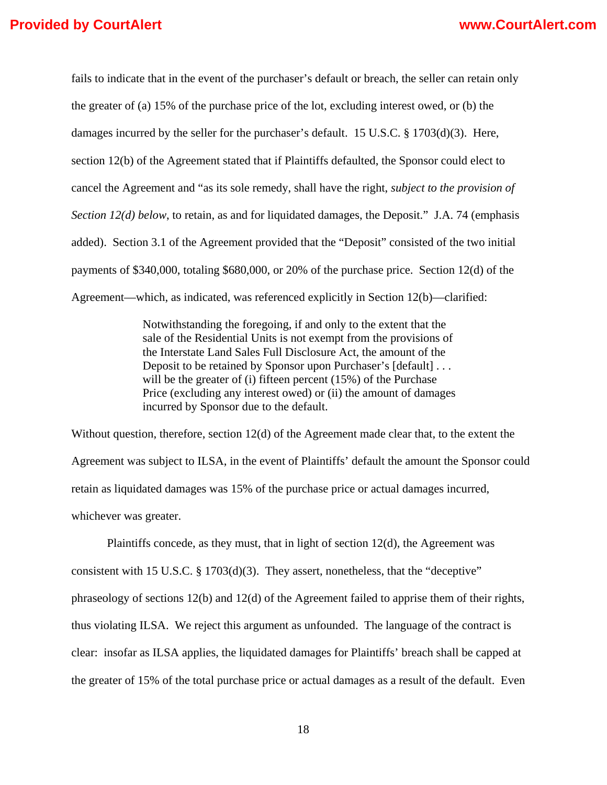fails to indicate that in the event of the purchaser's default or breach, the seller can retain only the greater of (a) 15% of the purchase price of the lot, excluding interest owed, or (b) the damages incurred by the seller for the purchaser's default. 15 U.S.C. § 1703(d)(3). Here, section 12(b) of the Agreement stated that if Plaintiffs defaulted, the Sponsor could elect to cancel the Agreement and "as its sole remedy, shall have the right, *subject to the provision of Section 12(d) below*, to retain, as and for liquidated damages, the Deposit." J.A. 74 (emphasis added). Section 3.1 of the Agreement provided that the "Deposit" consisted of the two initial payments of \$340,000, totaling \$680,000, or 20% of the purchase price. Section 12(d) of the Agreement—which, as indicated, was referenced explicitly in Section 12(b)—clarified:

> Notwithstanding the foregoing, if and only to the extent that the sale of the Residential Units is not exempt from the provisions of the Interstate Land Sales Full Disclosure Act, the amount of the Deposit to be retained by Sponsor upon Purchaser's [default] . . . will be the greater of (i) fifteen percent (15%) of the Purchase Price (excluding any interest owed) or (ii) the amount of damages incurred by Sponsor due to the default.

Without question, therefore, section 12(d) of the Agreement made clear that, to the extent the Agreement was subject to ILSA, in the event of Plaintiffs' default the amount the Sponsor could retain as liquidated damages was 15% of the purchase price or actual damages incurred, whichever was greater.

 Plaintiffs concede, as they must, that in light of section 12(d), the Agreement was consistent with 15 U.S.C. § 1703(d)(3). They assert, nonetheless, that the "deceptive" phraseology of sections 12(b) and 12(d) of the Agreement failed to apprise them of their rights, thus violating ILSA. We reject this argument as unfounded. The language of the contract is clear: insofar as ILSA applies, the liquidated damages for Plaintiffs' breach shall be capped at the greater of 15% of the total purchase price or actual damages as a result of the default. Even